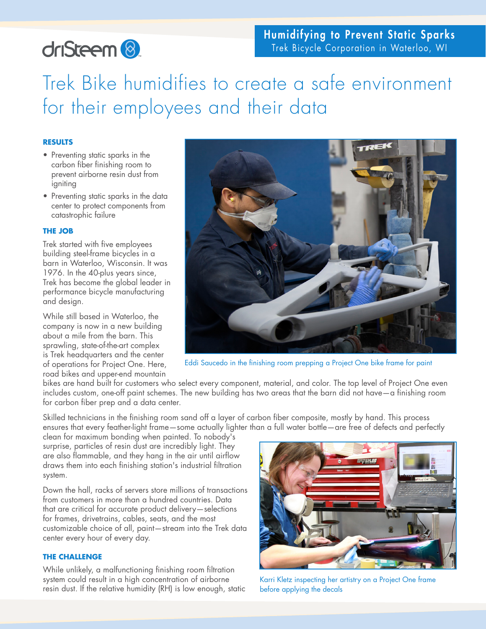# driSteem<sup>8</sup>

# Humidifying to Prevent Static Sparks Trek Bicycle Corporation in Waterloo, WI

Trek Bike humidifies to create a safe environment for their employees and their data

### **RESULTS**

- Preventing static sparks in the carbon fiber finishing room to prevent airborne resin dust from igniting
- Preventing static sparks in the data center to protect components from catastrophic failure

## **THE JOB**

Trek started with five employees building steel-frame bicycles in a barn in Waterloo, Wisconsin. It was 1976. In the 40-plus years since, Trek has become the global leader in performance bicycle manufacturing and design.

While still based in Waterloo, the company is now in a new building about a mile from the barn. This sprawling, state-of-the-art complex is Trek headquarters and the center of operations for Project One. Here, road bikes and upper-end mountain



Eddi Saucedo in the finishing room prepping a Project One bike frame for paint

bikes are hand built for customers who select every component, material, and color. The top level of Project One even includes custom, one-off paint schemes. The new building has two areas that the barn did not have—a finishing room for carbon fiber prep and a data center.

Skilled technicians in the finishing room sand off a layer of carbon fiber composite, mostly by hand. This process ensures that every feather-light frame—some actually lighter than a full water bottle—are free of defects and perfectly

clean for maximum bonding when painted. To nobody's surprise, particles of resin dust are incredibly light. They are also flammable, and they hang in the air until airflow draws them into each finishing station's industrial filtration system.

Down the hall, racks of servers store millions of transactions from customers in more than a hundred countries. Data that are critical for accurate product delivery—selections for frames, drivetrains, cables, seats, and the most customizable choice of all, paint—stream into the Trek data center every hour of every day.

### **THE CHALLENGE**

While unlikely, a malfunctioning finishing room filtration system could result in a high concentration of airborne resin dust. If the relative humidity (RH) is low enough, static



Karri Kletz inspecting her artistry on a Project One frame before applying the decals